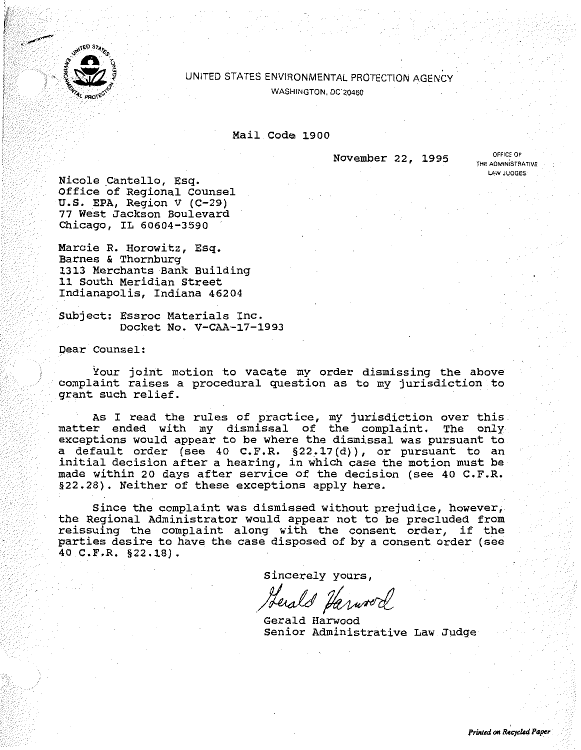

## UNITED STATES ENVIRONMENTAL PROTECTION AGENCY WASHINGTON, DC'20460

## Mail Code 1900

November 22, 1995 **OFFICE OF** 

**THE ADMINiSTRATIVE LAW JUDGES** 

Nicole Cantello, Esq. Office of Regional Counsel U.S. EPA, Region V {C-29) 77 West Jackson Boulevard Chicago, IL 60604-3590

Marcie R. Horowitz, Esq. Barnes & Thornburg 1313 Merchants Bank Building 11 South Meridian Street Indianapolis, Indiana 46204

Subject: Essroc Materials Inc. Docket No. V-CAA-17-1993

Dear Counsel:

Your joint motion to vacate my order dismissing the above complaint raises a procedural question as to my jurisdiction to grant such relief.

As I read the rules of practice, my jurisdiction over this matter ended with my dismissal of the complaint. The only exceptions would appear to be where the dismissal was pursuant to a default order (see 40 C.F.R. §22.17{d)), or pursuant to an initial decision after a hearing, in which case the motion must be made within 20 days after service of the decision (see 40 C.F.R. §22.28). Neither of these exceptions apply here.

Since the complaint was dismissed without prejudice, however, the Regional Administrator would appear not to be precluded from reissuing the complaint along with the consent order, if the parties desire to have the case disposed of by a consent order (see 40 C.F.R. §22.18).

sincerely yours,

SINCELEIT FOULS,

Senior Administrative Law Judge